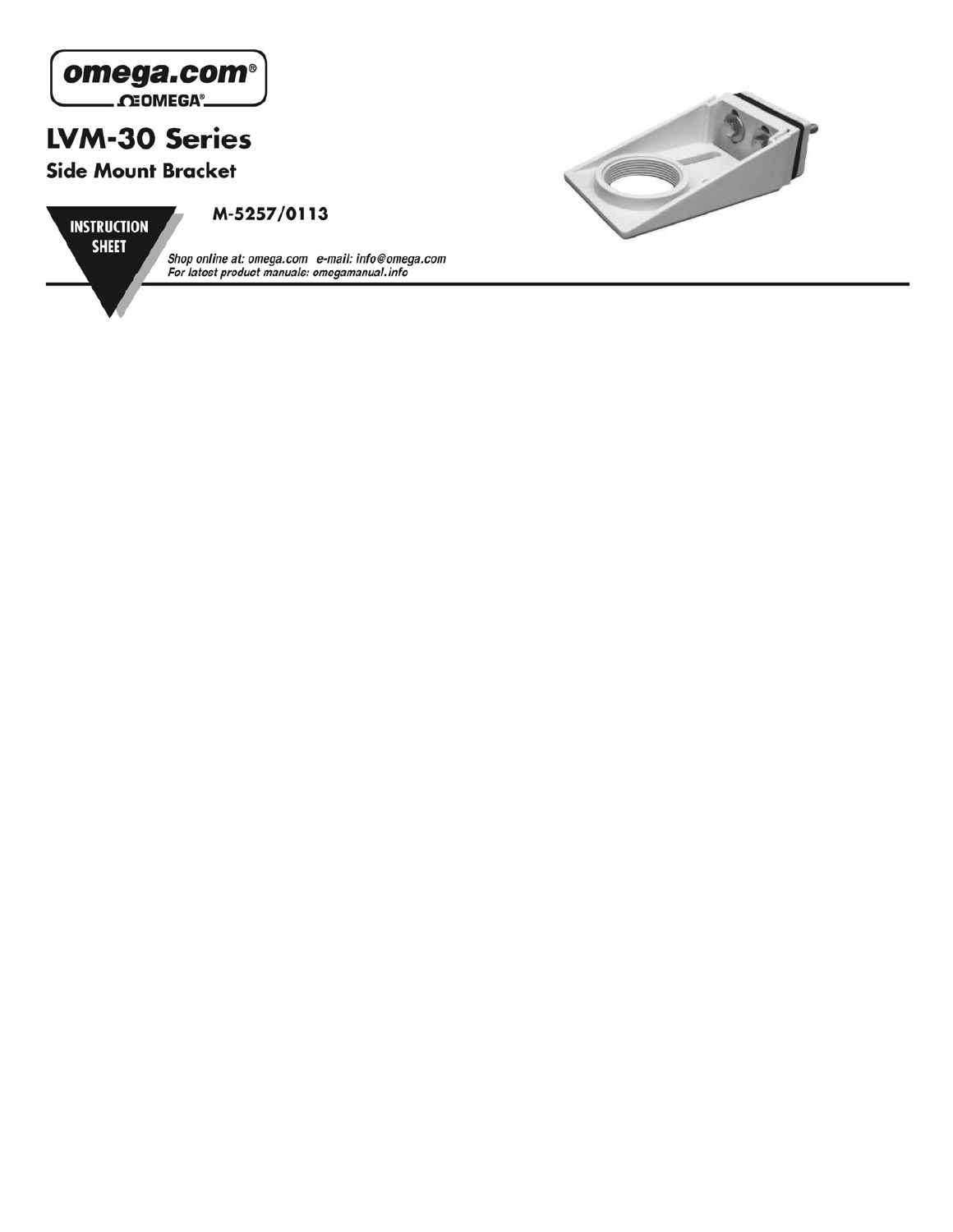



**INSTRUCTION SHEET** 

M-5257/0113

Shop online at: omega.com e-mail: info@omega.com<br>For latest product manuals: omegamanual.info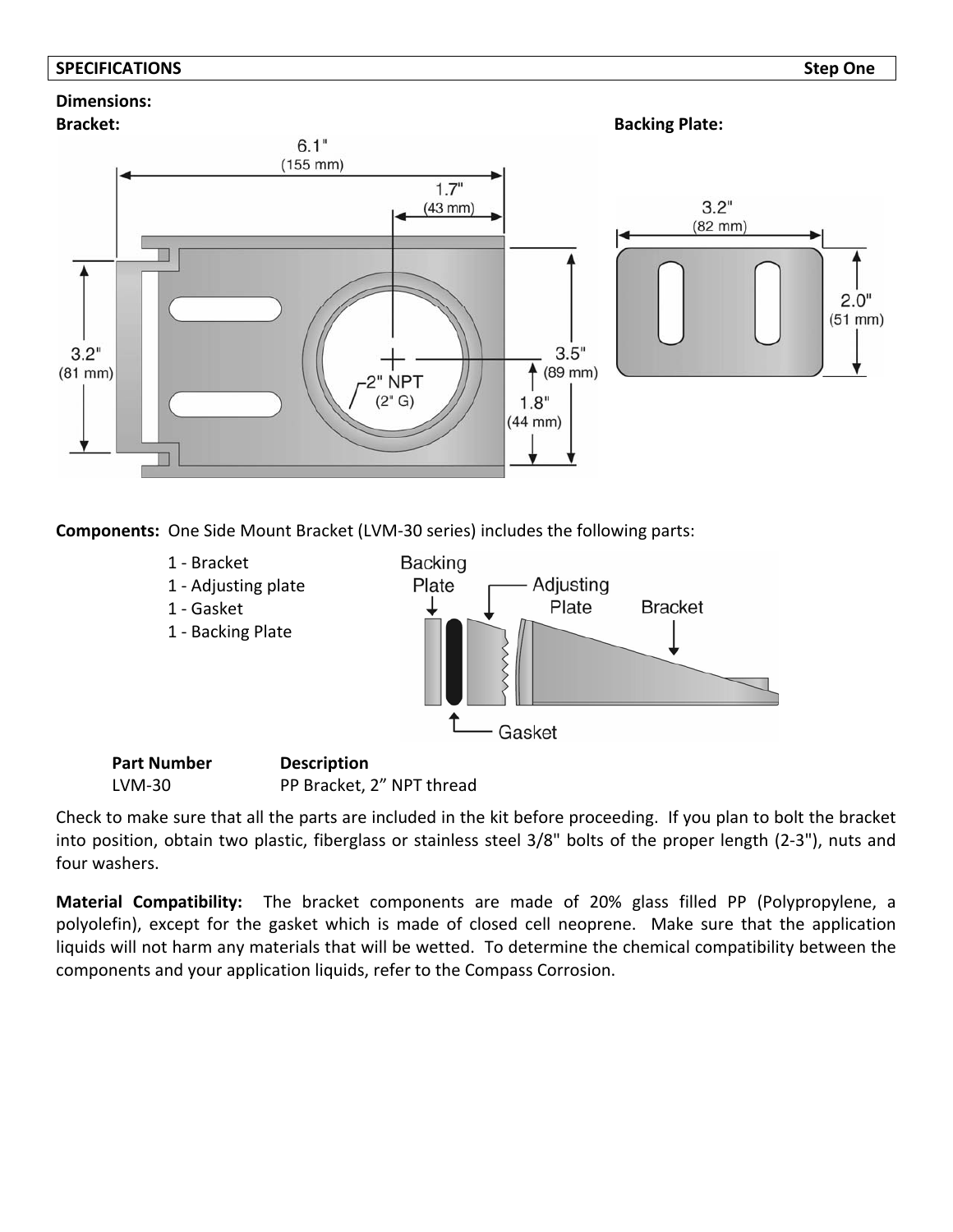### **SPECIFICATIONS Step One**

# **Dimensions:**



**Components:** One Side Mount Bracket (LVM‐30 series) includes the following parts:



Check to make sure that all the parts are included in the kit before proceeding. If you plan to bolt the bracket into position, obtain two plastic, fiberglass or stainless steel 3/8" bolts of the proper length (2‐3"), nuts and four washers.

**Material Compatibility:**  The bracket components are made of 20% glass filled PP (Polypropylene, a polyolefin), except for the gasket which is made of closed cell neoprene. Make sure that the application liquids will not harm any materials that will be wetted. To determine the chemical compatibility between the components and your application liquids, refer to the Compass Corrosion.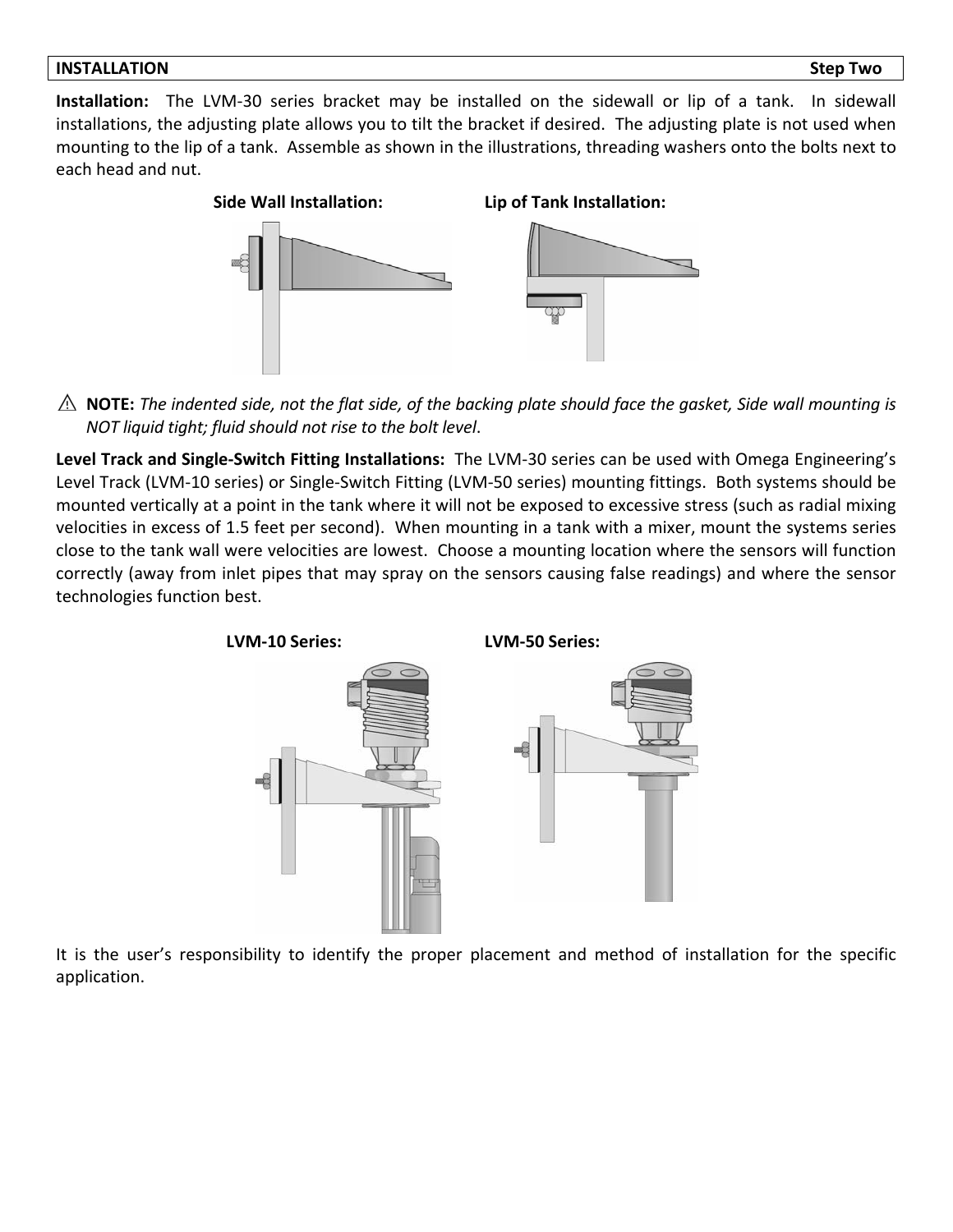**Installation:** The LVM‐30 series bracket may be installed on the sidewall or lip of a tank. In sidewall installations, the adjusting plate allows you to tilt the bracket if desired. The adjusting plate is not used when mounting to the lip of a tank. Assemble as shown in the illustrations, threading washers onto the bolts next to each head and nut.



 $\triangle$  NOTE: The indented side, not the flat side, of the backing plate should face the gasket, Side wall mounting is *NOT liquid tight; fluid should not rise to the bolt level*.

**Level Track and Single‐Switch Fitting Installations:** The LVM‐30 series can be used with Omega Engineering's Level Track (LVM‐10 series) or Single‐Switch Fitting (LVM‐50 series) mounting fittings. Both systems should be mounted vertically at a point in the tank where it will not be exposed to excessive stress (such as radial mixing velocities in excess of 1.5 feet per second). When mounting in a tank with a mixer, mount the systems series close to the tank wall were velocities are lowest. Choose a mounting location where the sensors will function correctly (away from inlet pipes that may spray on the sensors causing false readings) and where the sensor technologies function best.



It is the user's responsibility to identify the proper placement and method of installation for the specific application.